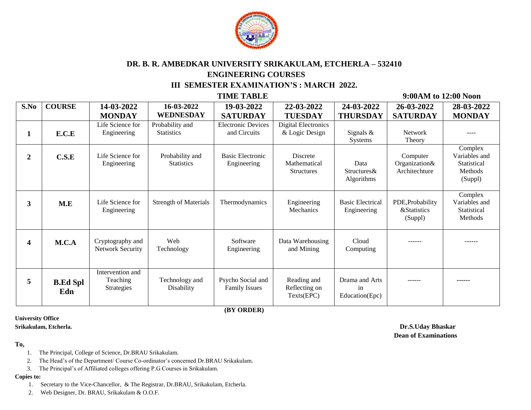

# **DR. B. R. AMBEDKAR UNIVERSITY SRIKAKULAM, ETCHERLA – 532410 ENGINEERING COURSES III SEMESTER EXAMINATION'S : MARCH 2022.**

 **TIME TABLE 9:00AM to 12:00 Noon**

| S.No           | <b>COURSE</b>          | 14-03-2022                                  | 16-03-2022                           | 19-03-2022                                | 22-03-2022                                           | 24-03-2022                             | 26-03-2022                                            | 28-03-2022                                                    |  |
|----------------|------------------------|---------------------------------------------|--------------------------------------|-------------------------------------------|------------------------------------------------------|----------------------------------------|-------------------------------------------------------|---------------------------------------------------------------|--|
|                |                        | <b>MONDAY</b>                               | WEDNESDAY                            | <b>SATURDAY</b>                           | <b>TUESDAY</b>                                       | <b>THURSDAY</b>                        | <b>SATURDAY</b>                                       | <b>MONDAY</b>                                                 |  |
| 1              | E.C.E                  | Life Science for<br>Engineering             | Probability and<br><b>Statistics</b> | <b>Electronic Devices</b><br>and Circuits | <b>Digital Electronics</b><br>& Logic Design         | Signals $\&$<br><b>Systems</b>         | <b>Network</b><br>Theory                              |                                                               |  |
| $\overline{2}$ | C.S.E                  | Life Science for<br>Engineering             | Probability and<br><b>Statistics</b> | Basic Electronic<br>Engineering           | <b>Discrete</b><br>Mathematical<br><b>Structures</b> | Data<br>Structures&<br>Algorithms      | Computer<br>Organization&<br>Architechture            | Complex<br>Variables and<br>Statistical<br>Methods<br>(Suppl) |  |
| 3              | M.E                    | Life Science for<br>Engineering             | <b>Strength of Materials</b>         | Thermodynamics                            | Engineering<br>Mechanics                             | <b>Basic Electrical</b><br>Engineering | PDE, Probability<br><b>&amp;Statistics</b><br>(Suppl) | Complex<br>Variables and<br>Statistical<br>Methods            |  |
| 4              | M.C.A                  | Cryptography and<br><b>Network Security</b> | Web<br>Technology                    | Software<br>Engineering                   | Data Warehousing<br>and Mining                       | Cloud<br>Computing                     | ------                                                | ------                                                        |  |
| 5              | <b>B.Ed Spl</b><br>Edn | Intervention and<br>Teaching<br>Strategies  | Technology and<br>Disability         | Psycho Social and<br><b>Family Issues</b> | Reading and<br>Reflecting on<br>Texts(EPC)           | Drama and Arts<br>in<br>Education(Epc) | ------                                                |                                                               |  |

 **(BY ORDER)**

# **University Office**

### **To,**

- 1. The Principal, College of Science, Dr.BRAU Srikakulam.
- 2. The Head's of the Department/ Course Co-ordinator's concerned Dr.BRAU Srikakulam.
- 3. The Principal's of Affiliated colleges offering P.G Courses in Srikakulam.

### **Copies to:**

- 1. Secretary to the Vice-Chancellor, & The Registrar, Dr.BRAU, Srikakulam, Etcherla.
- 2. Web Designer, Dr. BRAU, Srikakulam & O.O.F.

**Srikakulam, Etcherla. Dr.S.Uday Bhaskar Dean of Examinations**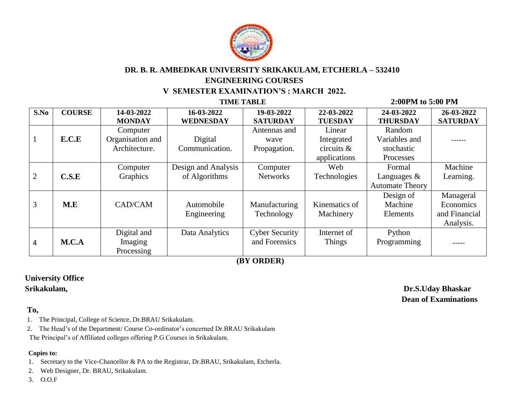

# **DR. B. R. AMBEDKAR UNIVERSITY SRIKAKULAM, ETCHERLA – 532410 ENGINEERING COURSES V SEMESTER EXAMINATION'S : MARCH 2022.**

### **TIME TABLE 2:00PM to 5:00 PM S.No COURSE 14-03-2022 MONDAY 16-03-2022 WEDNESDAY 19-03-2022 SATURDAY 22-03-2022 TUESDAY 24-03-2022 THURSDAY 26-03-2022 SATURDAY** 1 **E.C.E** Computer Organisation and Architecture. Digital Communication. Antennas and wave Propagation. Linear Integrated circuits & applications Random Variables and stochastic Processes ------ 2 **C.S.E** Computer Graphics Design and Analysis of Algorithms **Computer Networks** Web Technologies Formal Languages & Automate Theory Machine Learning. 3 **M.E** CAD/CAM Automobile Engineering Manufacturing Technology Kinematics of Machinery Design of Machine Elements Manageral Economics and Financial Analysis. 4 **M.C.A** Digital and Imaging Processing Data Analytics | Cyber Security and Forensics Internet of Things Python Programming | \_\_\_\_\_\_

 **(BY ORDER)**

# **University Office**

### **To,**

- 1. The Principal, College of Science, Dr.BRAU Srikakulam.
- 2. The Head's of the Department/ Course Co-ordinator's concerned Dr.BRAU Srikakulam
- The Principal's of Affiliated colleges offering P.G Courses in Srikakulam.

### **Copies to:**

- 1. Secretary to the Vice-Chancellor & PA to the Registrar, Dr.BRAU, Srikakulam, Etcherla.
- 2. Web Designer, Dr. BRAU, Srikakulam.
- 3. O.O.F

 **Srikakulam, Dr.S.Uday Bhaskar Dean of Examinations**